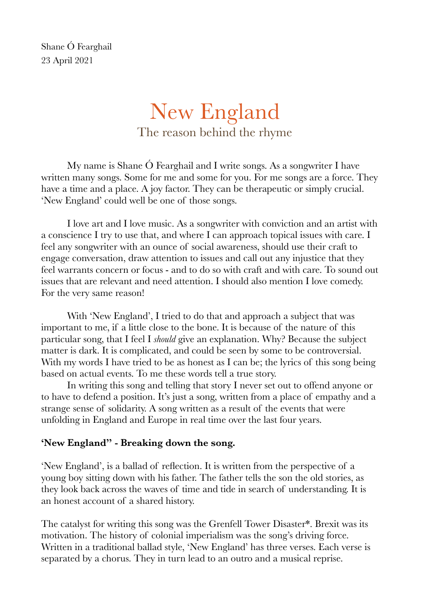Shane Ó Fearghail 23 April 2021

# New England The reason behind the rhyme

My name is Shane Ó Fearghail and I write songs. As a songwriter I have written many songs. Some for me and some for you. For me songs are a force. They have a time and a place. A joy factor. They can be therapeutic or simply crucial. 'New England' could well be one of those songs.

I love art and I love music. As a songwriter with conviction and an artist with a conscience I try to use that, and where I can approach topical issues with care. I feel any songwriter with an ounce of social awareness, should use their craft to engage conversation, draw attention to issues and call out any injustice that they feel warrants concern or focus - and to do so with craft and with care. To sound out issues that are relevant and need attention. I should also mention I love comedy. For the very same reason!

With 'New England', I tried to do that and approach a subject that was important to me, if a little close to the bone. It is because of the nature of this particular song, that I feel I *should* give an explanation. Why? Because the subject matter is dark. It is complicated, and could be seen by some to be controversial. With my words I have tried to be as honest as I can be; the lyrics of this song being based on actual events. To me these words tell a true story.

In writing this song and telling that story I never set out to offend anyone or to have to defend a position. It's just a song, written from a place of empathy and a strange sense of solidarity. A song written as a result of the events that were unfolding in England and Europe in real time over the last four years.

#### **'New England" - Breaking down the song.**

'New England', is a ballad of reflection. It is written from the perspective of a young boy sitting down with his father. The father tells the son the old stories, as they look back across the waves of time and tide in search of understanding. It is an honest account of a shared history.

The catalyst for writing this song was the Grenfell Tower Disaster\*. Brexit was its motivation. The history of colonial imperialism was the song's driving force. Written in a traditional ballad style, 'New England' has three verses. Each verse is separated by a chorus. They in turn lead to an outro and a musical reprise.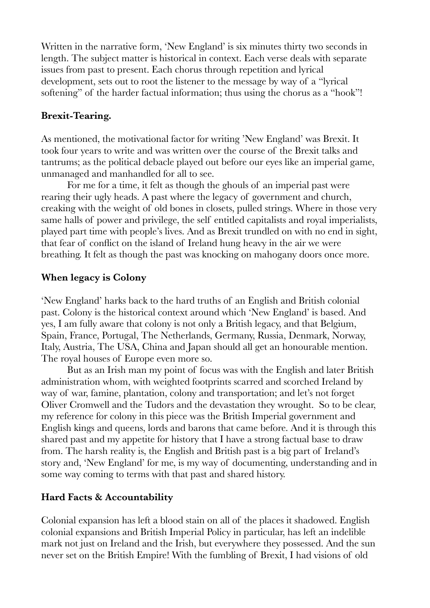Written in the narrative form, 'New England' is six minutes thirty two seconds in length. The subject matter is historical in context. Each verse deals with separate issues from past to present. Each chorus through repetition and lyrical development, sets out to root the listener to the message by way of a "lyrical softening" of the harder factual information; thus using the chorus as a "hook"!

#### **Brexit-Tearing.**

As mentioned, the motivational factor for writing 'New England' was Brexit. It took four years to write and was written over the course of the Brexit talks and tantrums; as the political debacle played out before our eyes like an imperial game, unmanaged and manhandled for all to see.

For me for a time, it felt as though the ghouls of an imperial past were rearing their ugly heads. A past where the legacy of government and church, creaking with the weight of old bones in closets, pulled strings. Where in those very same halls of power and privilege, the self entitled capitalists and royal imperialists, played part time with people's lives. And as Brexit trundled on with no end in sight, that fear of conflict on the island of Ireland hung heavy in the air we were breathing. It felt as though the past was knocking on mahogany doors once more.

#### **When legacy is Colony**

'New England' harks back to the hard truths of an English and British colonial past. Colony is the historical context around which 'New England' is based. And yes, I am fully aware that colony is not only a British legacy, and that Belgium, Spain, France, Portugal, The Netherlands, Germany, Russia, Denmark, Norway, Italy, Austria, The USA, China and Japan should all get an honourable mention. The royal houses of Europe even more so.

But as an Irish man my point of focus was with the English and later British administration whom, with weighted footprints scarred and scorched Ireland by way of war, famine, plantation, colony and transportation; and let's not forget Oliver Cromwell and the Tudors and the devastation they wrought. So to be clear, my reference for colony in this piece was the British Imperial government and English kings and queens, lords and barons that came before. And it is through this shared past and my appetite for history that I have a strong factual base to draw from. The harsh reality is, the English and British past is a big part of Ireland's story and, 'New England' for me, is my way of documenting, understanding and in some way coming to terms with that past and shared history.

#### **Hard Facts & Accountability**

Colonial expansion has left a blood stain on all of the places it shadowed. English colonial expansions and British Imperial Policy in particular, has left an indelible mark not just on Ireland and the Irish, but everywhere they possessed. And the sun never set on the British Empire! With the fumbling of Brexit, I had visions of old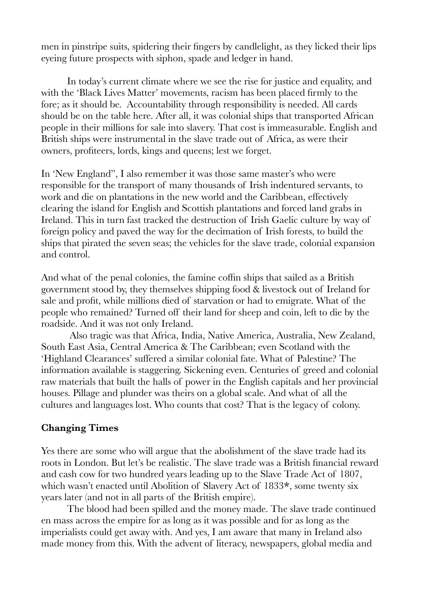men in pinstripe suits, spidering their fingers by candlelight, as they licked their lips eyeing future prospects with siphon, spade and ledger in hand.

In today's current climate where we see the rise for justice and equality, and with the 'Black Lives Matter' movements, racism has been placed firmly to the fore; as it should be. Accountability through responsibility is needed. All cards should be on the table here. After all, it was colonial ships that transported African people in their millions for sale into slavery. That cost is immeasurable. English and British ships were instrumental in the slave trade out of Africa, as were their owners, profiteers, lords, kings and queens; lest we forget.

In 'New England", I also remember it was those same master's who were responsible for the transport of many thousands of Irish indentured servants, to work and die on plantations in the new world and the Caribbean, effectively clearing the island for English and Scottish plantations and forced land grabs in Ireland. This in turn fast tracked the destruction of Irish Gaelic culture by way of foreign policy and paved the way for the decimation of Irish forests, to build the ships that pirated the seven seas; the vehicles for the slave trade, colonial expansion and control.

And what of the penal colonies, the famine coffin ships that sailed as a British government stood by, they themselves shipping food & livestock out of Ireland for sale and profit, while millions died of starvation or had to emigrate. What of the people who remained? Turned off their land for sheep and coin, left to die by the roadside. And it was not only Ireland.

 Also tragic was that Africa, India, Native America, Australia, New Zealand, South East Asia, Central America & The Caribbean; even Scotland with the 'Highland Clearances' suffered a similar colonial fate. What of Palestine? The information available is staggering. Sickening even. Centuries of greed and colonial raw materials that built the halls of power in the English capitals and her provincial houses. Pillage and plunder was theirs on a global scale. And what of all the cultures and languages lost. Who counts that cost? That is the legacy of colony.

#### **Changing Times**

Yes there are some who will argue that the abolishment of the slave trade had its roots in London. But let's be realistic. The slave trade was a British financial reward and cash cow for two hundred years leading up to the Slave Trade Act of 1807, which wasn't enacted until Abolition of Slavery Act of 1833**\***, some twenty six years later (and not in all parts of the British empire).

The blood had been spilled and the money made. The slave trade continued en mass across the empire for as long as it was possible and for as long as the imperialists could get away with. And yes, I am aware that many in Ireland also made money from this. With the advent of literacy, newspapers, global media and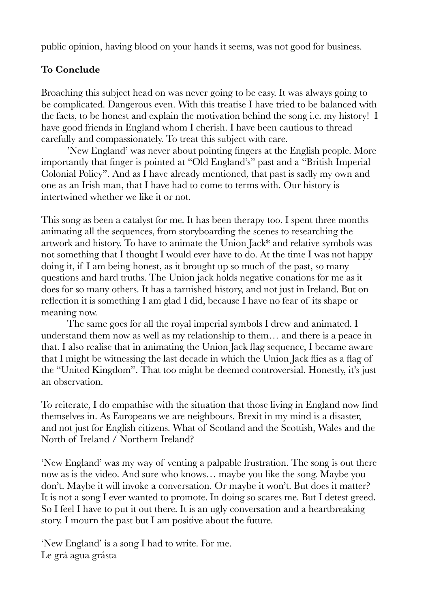public opinion, having blood on your hands it seems, was not good for business.

## **To Conclude**

Broaching this subject head on was never going to be easy. It was always going to be complicated. Dangerous even. With this treatise I have tried to be balanced with the facts, to be honest and explain the motivation behind the song i.e. my history! I have good friends in England whom I cherish. I have been cautious to thread carefully and compassionately. To treat this subject with care.

'New England' was never about pointing fingers at the English people. More importantly that finger is pointed at "Old England's" past and a "British Imperial Colonial Policy". And as I have already mentioned, that past is sadly my own and one as an Irish man, that I have had to come to terms with. Our history is intertwined whether we like it or not.

This song as been a catalyst for me. It has been therapy too. I spent three months animating all the sequences, from storyboarding the scenes to researching the artwork and history. To have to animate the Union Jack\* and relative symbols was not something that I thought I would ever have to do. At the time I was not happy doing it, if I am being honest, as it brought up so much of the past, so many questions and hard truths. The Union jack holds negative conations for me as it does for so many others. It has a tarnished history, and not just in Ireland. But on reflection it is something I am glad I did, because I have no fear of its shape or meaning now.

The same goes for all the royal imperial symbols I drew and animated. I understand them now as well as my relationship to them… and there is a peace in that. I also realise that in animating the Union Jack flag sequence, I became aware that I might be witnessing the last decade in which the Union Jack flies as a flag of the "United Kingdom". That too might be deemed controversial. Honestly, it's just an observation.

To reiterate, I do empathise with the situation that those living in England now find themselves in. As Europeans we are neighbours. Brexit in my mind is a disaster, and not just for English citizens. What of Scotland and the Scottish, Wales and the North of Ireland / Northern Ireland?

'New England' was my way of venting a palpable frustration. The song is out there now as is the video. And sure who knows… maybe you like the song. Maybe you don't. Maybe it will invoke a conversation. Or maybe it won't. But does it matter? It is not a song I ever wanted to promote. In doing so scares me. But I detest greed. So I feel I have to put it out there. It is an ugly conversation and a heartbreaking story. I mourn the past but I am positive about the future.

'New England' is a song I had to write. For me. Le grá agua grásta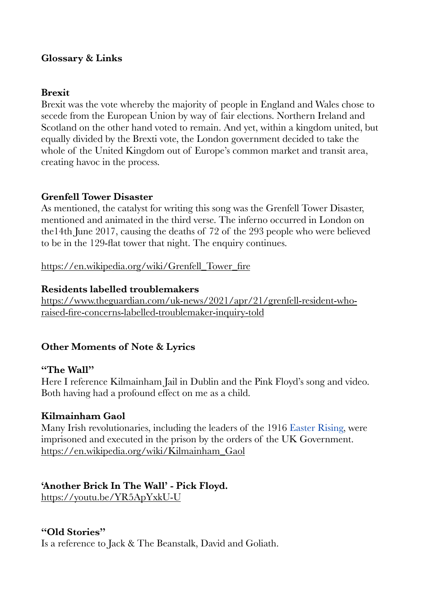#### **Glossary & Links**

#### **Brexit**

Brexit was the vote whereby the majority of people in England and Wales chose to secede from the European Union by way of fair elections. Northern Ireland and Scotland on the other hand voted to remain. And yet, within a kingdom united, but equally divided by the Brexti vote, the London government decided to take the whole of the United Kingdom out of Europe's common market and transit area, creating havoc in the process.

#### **Grenfell Tower Disaster**

As mentioned, the catalyst for writing this song was the Grenfell Tower Disaster, mentioned and animated in the third verse. The inferno occurred in London on the14th June 2017, causing the deaths of 72 of the 293 people who were believed to be in the 129-flat tower that night. The enquiry continues.

[https://en.wikipedia.org/wiki/Grenfell\\_Tower\\_fire](https://en.wikipedia.org/wiki/Grenfell_Tower_fire)

#### **Residents labelled troublemakers**

[https://www.theguardian.com/uk-news/2021/apr/21/grenfell-resident-who](https://www.theguardian.com/uk-news/2021/apr/21/grenfell-resident-who-raised-fire-concerns-labelled-troublemaker-inquiry-told)raised-fire-concerns-labelled-troublemaker-inquiry-told

#### **Other Moments of Note & Lyrics**

#### **"The Wall"**

Here I reference Kilmainham Jail in Dublin and the Pink Floyd's song and video. Both having had a profound effect on me as a child.

#### **Kilmainham Gaol**

Many Irish revolutionaries, including the leaders of the 1916 [Easter Rising](https://en.wikipedia.org/wiki/Easter_Rising), were imprisoned and executed in the prison by the orders of the UK Government. [https://en.wikipedia.org/wiki/Kilmainham\\_Gaol](https://en.wikipedia.org/wiki/Kilmainham_Gaol)

## **'Another Brick In The Wall' - Pick Floyd.**

<https://youtu.be/YR5ApYxkU-U>

#### **"Old Stories"**

Is a reference to Jack & The Beanstalk, David and Goliath.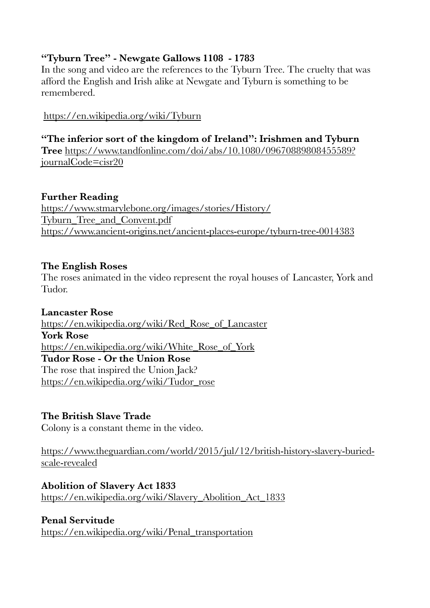## **"Tyburn Tree" - Newgate Gallows 1108 - 1783**

In the song and video are the references to the Tyburn Tree. The cruelty that was afford the English and Irish alike at Newgate and Tyburn is something to be remembered.

<https://en.wikipedia.org/wiki/Tyburn>

## **"The inferior sort of the kingdom of Ireland": Irishmen and Tyburn**

**Tree** [https://www.tandfonline.com/doi/abs/10.1080/09670889808455589?](https://www.tandfonline.com/doi/abs/10.1080/09670889808455589?journalCode=cisr20) journalCode=cisr20

## **Further Reading**

[https://www.stmarylebone.org/images/stories/History/](https://www.stmarylebone.org/images/stories/History/Tyburn_Tree_and_Convent.pdf) Tyburn\_Tree\_and\_Convent.pdf <https://www.ancient-origins.net/ancient-places-europe/tyburn-tree-0014383>

#### **The English Roses**

The roses animated in the video represent the royal houses of Lancaster, York and Tudor.

#### **Lancaster Rose**

[https://en.wikipedia.org/wiki/Red\\_Rose\\_of\\_Lancaster](https://en.wikipedia.org/wiki/Red_Rose_of_Lancaster) **York Rose** [https://en.wikipedia.org/wiki/White\\_Rose\\_of\\_York](https://en.wikipedia.org/wiki/White_Rose_of_York) **Tudor Rose - Or the Union Rose**  The rose that inspired the Union Jack? [https://en.wikipedia.org/wiki/Tudor\\_rose](https://en.wikipedia.org/wiki/Tudor_rose)

## **The British Slave Trade**

Colony is a constant theme in the video.

[https://www.theguardian.com/world/2015/jul/12/british-history-slavery-buried](https://www.theguardian.com/world/2015/jul/12/british-history-slavery-buried-scale-revealed)scale-revealed

## **Abolition of Slavery Act 1833**

[https://en.wikipedia.org/wiki/Slavery\\_Abolition\\_Act\\_1833](https://en.wikipedia.org/wiki/Slavery_Abolition_Act_1833)

#### **Penal Servitude**

[https://en.wikipedia.org/wiki/Penal\\_transportation](https://en.wikipedia.org/wiki/Penal_transportation)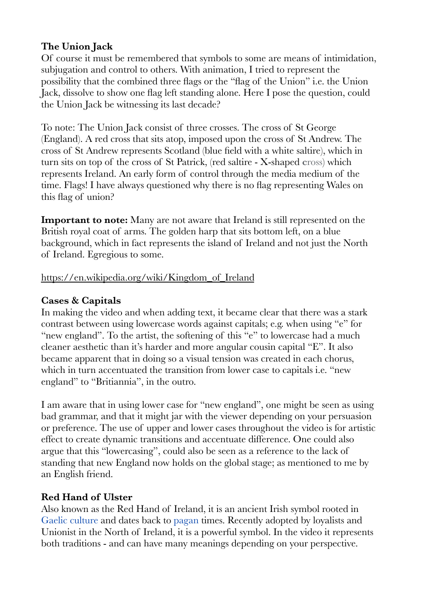## **The Union Jack**

Of course it must be remembered that symbols to some are means of intimidation, subjugation and control to others. With animation, I tried to represent the possibility that the combined three flags or the "flag of the Union" i.e. the Union Jack, dissolve to show one flag left standing alone. Here I pose the question, could the Union Jack be witnessing its last decade?

To note: The Union Jack consist of three crosses. The cross of St George (England). A red cross that sits atop, imposed upon the cross of St Andrew. The cross of St Andrew represents Scotland (blue field with a white saltire), which in turn sits on top of the cross of St Patrick, (red saltire - X-shaped **c**ross) which represents Ireland. An early form of control through the media medium of the time. Flags! I have always questioned why there is no flag representing Wales on this flag of union?

**Important to note:** Many are not aware that Ireland is still represented on the British royal coat of arms. The golden harp that sits bottom left, on a blue background, which in fact represents the island of Ireland and not just the North of Ireland. Egregious to some.

#### [https://en.wikipedia.org/wiki/Kingdom\\_of\\_Ireland](https://en.wikipedia.org/wiki/Kingdom_of_Ireland)

## **Cases & Capitals**

In making the video and when adding text, it became clear that there was a stark contrast between using lowercase words against capitals; e.g. when using "e" for "new england". To the artist, the softening of this "e" to lowercase had a much cleaner aesthetic than it's harder and more angular cousin capital "E". It also became apparent that in doing so a visual tension was created in each chorus, which in turn accentuated the transition from lower case to capitals i.e. "new england" to "Britiannia", in the outro.

I am aware that in using lower case for "new england", one might be seen as using bad grammar, and that it might jar with the viewer depending on your persuasion or preference. The use of upper and lower cases throughout the video is for artistic effect to create dynamic transitions and accentuate difference. One could also argue that this "lowercasing", could also be seen as a reference to the lack of standing that new England now holds on the global stage; as mentioned to me by an English friend.

#### **Red Hand of Ulster**

Also known as the Red Hand of Ireland, it is an ancient Irish symbol rooted in [Gaelic culture](https://en.wikipedia.org/wiki/Gaelic_Ireland) and dates back to [pagan](https://en.wikipedia.org/wiki/Celtic_polytheism) times. Recently adopted by loyalists and Unionist in the North of Ireland, it is a powerful symbol. In the video it represents both traditions - and can have many meanings depending on your perspective.